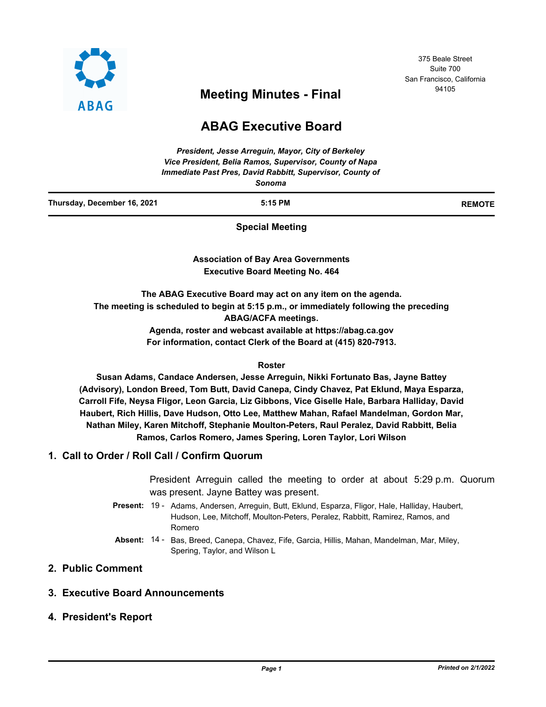

# <sup>94105</sup> **Meeting Minutes - Final**

## **ABAG Executive Board**

|                             | President, Jesse Arreguin, Mayor, City of Berkeley<br>Vice President, Belia Ramos, Supervisor, County of Napa<br>Immediate Past Pres, David Rabbitt, Supervisor, County of<br>Sonoma |               |
|-----------------------------|--------------------------------------------------------------------------------------------------------------------------------------------------------------------------------------|---------------|
| Thursday, December 16, 2021 | $5:15$ PM                                                                                                                                                                            | <b>REMOTE</b> |
|                             | <b>Special Meeting</b>                                                                                                                                                               |               |
|                             | <b>Association of Bay Area Governments</b>                                                                                                                                           |               |
|                             | <b>Executive Board Meeting No. 464</b>                                                                                                                                               |               |
|                             | The ABAG Executive Board may act on any item on the agenda.                                                                                                                          |               |

**The meeting is scheduled to begin at 5:15 p.m., or immediately following the preceding ABAG/ACFA meetings.**

> **Agenda, roster and webcast available at https://abag.ca.gov For information, contact Clerk of the Board at (415) 820-7913.**

#### **Roster**

**Susan Adams, Candace Andersen, Jesse Arreguin, Nikki Fortunato Bas, Jayne Battey (Advisory), London Breed, Tom Butt, David Canepa, Cindy Chavez, Pat Eklund, Maya Esparza, Carroll Fife, Neysa Fligor, Leon Garcia, Liz Gibbons, Vice Giselle Hale, Barbara Halliday, David Haubert, Rich Hillis, Dave Hudson, Otto Lee, Matthew Mahan, Rafael Mandelman, Gordon Mar, Nathan Miley, Karen Mitchoff, Stephanie Moulton-Peters, Raul Peralez, David Rabbitt, Belia Ramos, Carlos Romero, James Spering, Loren Taylor, Lori Wilson**

## **1. Call to Order / Roll Call / Confirm Quorum**

President Arreguin called the meeting to order at about 5:29 p.m. Quorum was present. Jayne Battey was present.

- Present: 19 Adams, Andersen, Arreguin, Butt, Eklund, Esparza, Fligor, Hale, Halliday, Haubert, Hudson, Lee, Mitchoff, Moulton-Peters, Peralez, Rabbitt, Ramirez, Ramos, and Romero
- Absent: 14 Bas, Breed, Canepa, Chavez, Fife, Garcia, Hillis, Mahan, Mandelman, Mar, Miley, Spering, Taylor, and Wilson L

## **2. Public Comment**

## **3. Executive Board Announcements**

## **4. President's Report**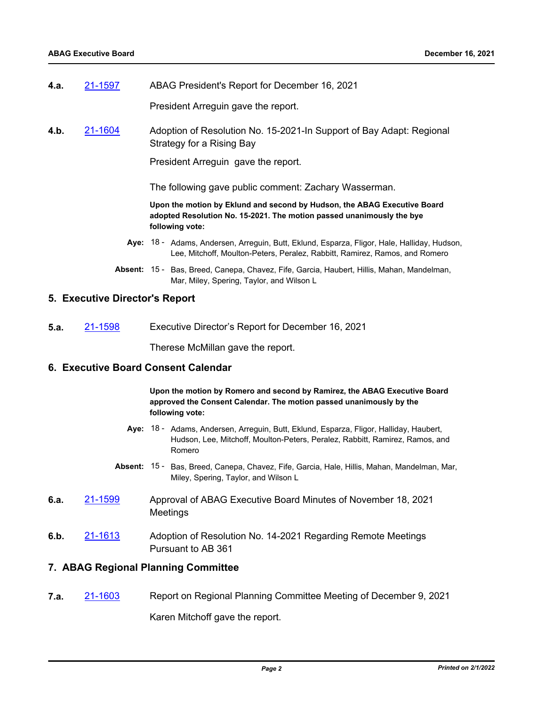**4.a.** [21-1597](http://mtc.legistar.com/gateway.aspx?m=l&id=/matter.aspx?key=23190) ABAG President's Report for December 16, 2021

President Arreguin gave the report.

**4.b.** [21-1604](http://mtc.legistar.com/gateway.aspx?m=l&id=/matter.aspx?key=23197) Adoption of Resolution No. 15-2021-In Support of Bay Adapt: Regional Strategy for a Rising Bay

President Arreguin gave the report.

The following gave public comment: Zachary Wasserman.

**Upon the motion by Eklund and second by Hudson, the ABAG Executive Board adopted Resolution No. 15-2021. The motion passed unanimously the bye following vote:**

- Aye: 18 Adams, Andersen, Arreguin, Butt, Eklund, Esparza, Fligor, Hale, Halliday, Hudson, Lee, Mitchoff, Moulton-Peters, Peralez, Rabbitt, Ramirez, Ramos, and Romero
- Absent: 15 Bas, Breed, Canepa, Chavez, Fife, Garcia, Haubert, Hillis, Mahan, Mandelman, Mar, Miley, Spering, Taylor, and Wilson L

#### **5. Executive Director's Report**

**5.a.** [21-1598](http://mtc.legistar.com/gateway.aspx?m=l&id=/matter.aspx?key=23191) Executive Director's Report for December 16, 2021

Therese McMillan gave the report.

#### **6. Executive Board Consent Calendar**

**Upon the motion by Romero and second by Ramirez, the ABAG Executive Board approved the Consent Calendar. The motion passed unanimously by the following vote:**

- **Aye:** Adams, Andersen, Arreguin, Butt, Eklund, Esparza, Fligor, Halliday, Haubert, 18 Hudson, Lee, Mitchoff, Moulton-Peters, Peralez, Rabbitt, Ramirez, Ramos, and Romero
- Absent: 15 Bas, Breed, Canepa, Chavez, Fife, Garcia, Hale, Hillis, Mahan, Mandelman, Mar, Miley, Spering, Taylor, and Wilson L
- **6.a.** [21-1599](http://mtc.legistar.com/gateway.aspx?m=l&id=/matter.aspx?key=23192) Approval of ABAG Executive Board Minutes of November 18, 2021 Meetings
- **6.b.** [21-1613](http://mtc.legistar.com/gateway.aspx?m=l&id=/matter.aspx?key=23206) Adoption of Resolution No. 14-2021 Regarding Remote Meetings Pursuant to AB 361

#### **7. ABAG Regional Planning Committee**

**7.a.** [21-1603](http://mtc.legistar.com/gateway.aspx?m=l&id=/matter.aspx?key=23196) Report on Regional Planning Committee Meeting of December 9, 2021

Karen Mitchoff gave the report.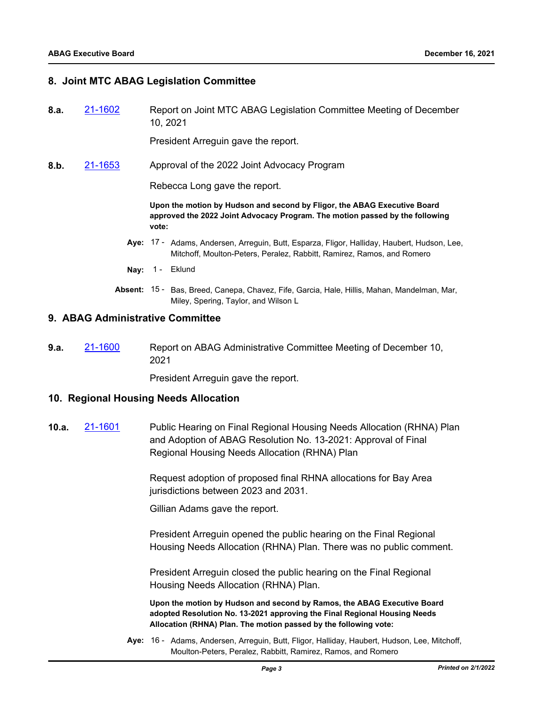#### **8. Joint MTC ABAG Legislation Committee**

**8.a.** [21-1602](http://mtc.legistar.com/gateway.aspx?m=l&id=/matter.aspx?key=23195) Report on Joint MTC ABAG Legislation Committee Meeting of December 10, 2021

President Arreguin gave the report.

**8.b.** [21-1653](http://mtc.legistar.com/gateway.aspx?m=l&id=/matter.aspx?key=23246) Approval of the 2022 Joint Advocacy Program

Rebecca Long gave the report.

**Upon the motion by Hudson and second by Fligor, the ABAG Executive Board approved the 2022 Joint Advocacy Program. The motion passed by the following vote:**

- Aye: 17 Adams, Andersen, Arreguin, Butt, Esparza, Fligor, Halliday, Haubert, Hudson, Lee, Mitchoff, Moulton-Peters, Peralez, Rabbitt, Ramirez, Ramos, and Romero
- Nay: 1 Eklund
- Absent: 15 Bas, Breed, Canepa, Chavez, Fife, Garcia, Hale, Hillis, Mahan, Mandelman, Mar, Miley, Spering, Taylor, and Wilson L

#### **9. ABAG Administrative Committee**

**9.a.** [21-1600](http://mtc.legistar.com/gateway.aspx?m=l&id=/matter.aspx?key=23193) Report on ABAG Administrative Committee Meeting of December 10, 2021

President Arreguin gave the report.

#### **10. Regional Housing Needs Allocation**

**10.a.** [21-1601](http://mtc.legistar.com/gateway.aspx?m=l&id=/matter.aspx?key=23194) Public Hearing on Final Regional Housing Needs Allocation (RHNA) Plan and Adoption of ABAG Resolution No. 13-2021: Approval of Final Regional Housing Needs Allocation (RHNA) Plan

> Request adoption of proposed final RHNA allocations for Bay Area jurisdictions between 2023 and 2031.

Gillian Adams gave the report.

President Arreguin opened the public hearing on the Final Regional Housing Needs Allocation (RHNA) Plan. There was no public comment.

President Arreguin closed the public hearing on the Final Regional Housing Needs Allocation (RHNA) Plan.

**Upon the motion by Hudson and second by Ramos, the ABAG Executive Board adopted Resolution No. 13-2021 approving the Final Regional Housing Needs Allocation (RHNA) Plan. The motion passed by the following vote:**

Aye: 16 - Adams, Andersen, Arreguin, Butt, Fligor, Halliday, Haubert, Hudson, Lee, Mitchoff, Moulton-Peters, Peralez, Rabbitt, Ramirez, Ramos, and Romero